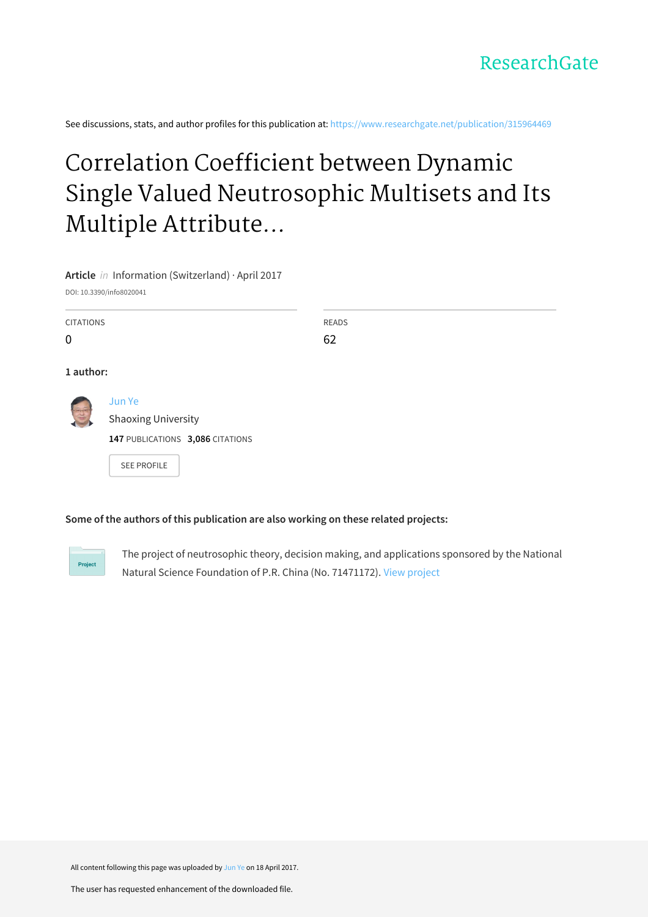See discussions, stats, and author profiles for this publication at: [https://www.researchgate.net/publication/315964469](https://www.researchgate.net/publication/315964469_Correlation_Coefficient_between_Dynamic_Single_Valued_Neutrosophic_Multisets_and_Its_Multiple_Attribute_Decision-Making_Method?enrichId=rgreq-3cd39bc0cfc568ce3528c47f38bdae17-XXX&enrichSource=Y292ZXJQYWdlOzMxNTk2NDQ2OTtBUzo0ODQ0MDE5MDY3NTM1MzhAMTQ5MjUwMTgyMjM3OA%3D%3D&el=1_x_2&_esc=publicationCoverPdf)

# Correlation Coefficient between Dynamic Single Valued Neutrosophic Multisets and Its Multiple Attribute...

**Article** in Information (Switzerland) · April 2017

DOI: 10.3390/info8020041

| <b>CITATIONS</b><br>$\mathbf 0$ |                                                                          | <b>READS</b><br>62 |
|---------------------------------|--------------------------------------------------------------------------|--------------------|
| 1 author:                       |                                                                          |                    |
|                                 | Jun Ye<br><b>Shaoxing University</b><br>147 PUBLICATIONS 3,086 CITATIONS |                    |
|                                 | <b>SEE PROFILE</b>                                                       |                    |

### **Some of the authors of this publication are also working on these related projects:**

Project

The project of neutrosophic theory, decision making, and applications sponsored by the National Natural Science Foundation of P.R. China (No. 71471172). View [project](https://www.researchgate.net/project/The-project-of-neutrosophic-theory-decision-making-and-applications-sponsored-by-the-National-Natural-Science-Foundation-of-PR-China-No-71471172?enrichId=rgreq-3cd39bc0cfc568ce3528c47f38bdae17-XXX&enrichSource=Y292ZXJQYWdlOzMxNTk2NDQ2OTtBUzo0ODQ0MDE5MDY3NTM1MzhAMTQ5MjUwMTgyMjM3OA%3D%3D&el=1_x_9&_esc=publicationCoverPdf)

All content following this page was uploaded by [Jun](https://www.researchgate.net/profile/Jun_Ye3?enrichId=rgreq-3cd39bc0cfc568ce3528c47f38bdae17-XXX&enrichSource=Y292ZXJQYWdlOzMxNTk2NDQ2OTtBUzo0ODQ0MDE5MDY3NTM1MzhAMTQ5MjUwMTgyMjM3OA%3D%3D&el=1_x_10&_esc=publicationCoverPdf) Ye on 18 April 2017.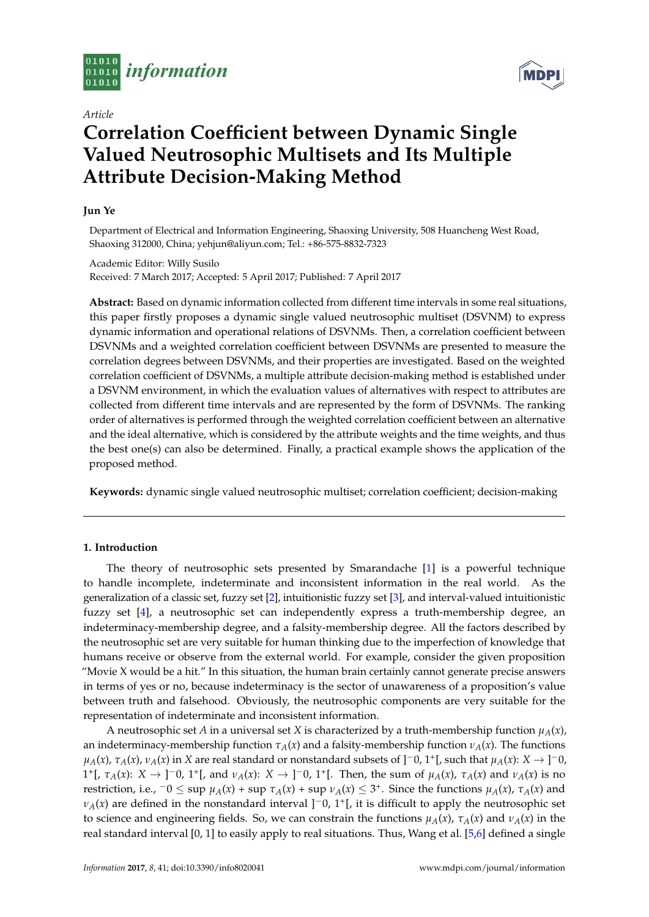

*Article*

## **Correlation Coefficient between Dynamic Single Valued Neutrosophic Multisets and Its Multiple Attribute Decision-Making Method**

#### **Jun Ye**

Department of Electrical and Information Engineering, Shaoxing University, 508 Huancheng West Road, Shaoxing 312000, China; yehjun@aliyun.com; Tel.: +86-575-8832-7323

Academic Editor: Willy Susilo Received: 7 March 2017; Accepted: 5 April 2017; Published: 7 April 2017

**Abstract:** Based on dynamic information collected from different time intervals in some real situations, this paper firstly proposes a dynamic single valued neutrosophic multiset (DSVNM) to express dynamic information and operational relations of DSVNMs. Then, a correlation coefficient between DSVNMs and a weighted correlation coefficient between DSVNMs are presented to measure the correlation degrees between DSVNMs, and their properties are investigated. Based on the weighted correlation coefficient of DSVNMs, a multiple attribute decision-making method is established under a DSVNM environment, in which the evaluation values of alternatives with respect to attributes are collected from different time intervals and are represented by the form of DSVNMs. The ranking order of alternatives is performed through the weighted correlation coefficient between an alternative and the ideal alternative, which is considered by the attribute weights and the time weights, and thus the best one(s) can also be determined. Finally, a practical example shows the application of the proposed method.

**Keywords:** dynamic single valued neutrosophic multiset; correlation coefficient; decision-making

#### **1. Introduction**

The theory of neutrosophic sets presented by Smarandache [\[1\]](#page-8-0) is a powerful technique to handle incomplete, indeterminate and inconsistent information in the real world. As the generalization of a classic set, fuzzy set [\[2\]](#page-8-1), intuitionistic fuzzy set [\[3\]](#page-8-2), and interval-valued intuitionistic fuzzy set [\[4\]](#page-8-3), a neutrosophic set can independently express a truth-membership degree, an indeterminacy-membership degree, and a falsity-membership degree. All the factors described by the neutrosophic set are very suitable for human thinking due to the imperfection of knowledge that humans receive or observe from the external world. For example, consider the given proposition "Movie X would be a hit." In this situation, the human brain certainly cannot generate precise answers in terms of yes or no, because indeterminacy is the sector of unawareness of a proposition's value between truth and falsehood. Obviously, the neutrosophic components are very suitable for the representation of indeterminate and inconsistent information.

A neutrosophic set *A* in a universal set *X* is characterized by a truth-membership function  $\mu_A(x)$ , an indeterminacy-membership function  $\tau_A(x)$  and a falsity-membership function  $\nu_A(x)$ . The functions *µA*(*x*), *τA*(*x*), *νA*(*x*) in *X* are real standard or nonstandard subsets of ]−0, 1<sup>+</sup> [, such that *µA*(*x*): *X* → ] <sup>−</sup>0, 1<sup>+</sup>[,  $\tau_A(x)$ :  $X \to$  ]<sup>-</sup>0, 1<sup>+</sup>[, and  $\nu_A(x)$ :  $X \to$  ]<sup>-</sup>0, 1<sup>+</sup>[. Then, the sum of  $\mu_A(x)$ ,  $\tau_A(x)$  and  $\nu_A(x)$  is no restriction, i.e.,  $-0 \le \sup \mu_A(x) + \sup \tau_A(x) + \sup \nu_A(x) \le 3^+$ . Since the functions  $\mu_A(x)$ ,  $\tau_A(x)$  and  $\nu_A(x)$  are defined in the nonstandard interval ]<sup>-</sup>0, 1<sup>+</sup>[, it is difficult to apply the neutrosophic set to science and engineering fields. So, we can constrain the functions  $\mu_A(x)$ ,  $\tau_A(x)$  and  $\nu_A(x)$  in the real standard interval [0, 1] to easily apply to real situations. Thus, Wang et al. [\[5](#page-8-4)[,6\]](#page-8-5) defined a single

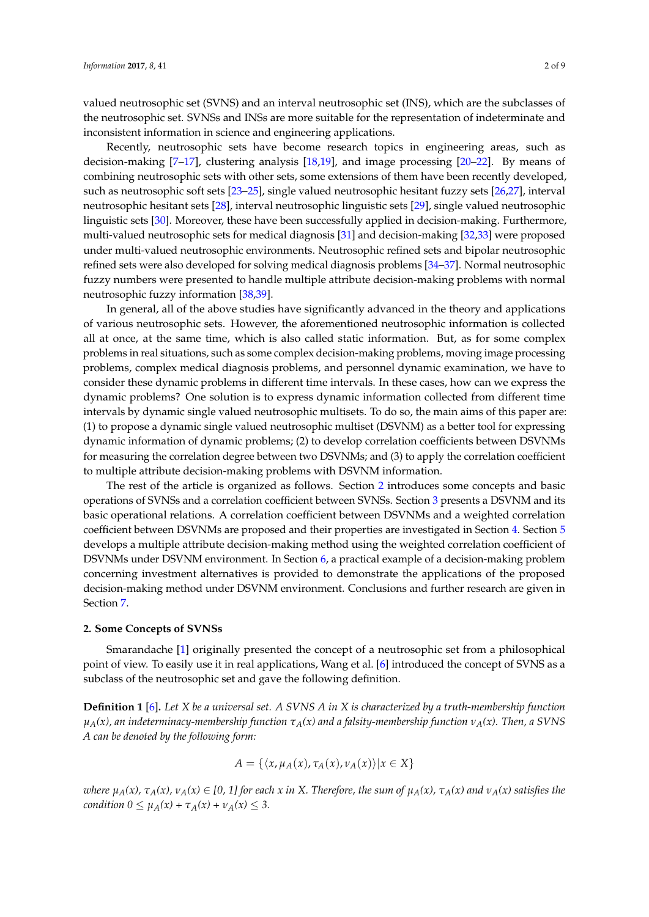valued neutrosophic set (SVNS) and an interval neutrosophic set (INS), which are the subclasses of the neutrosophic set. SVNSs and INSs are more suitable for the representation of indeterminate and inconsistent information in science and engineering applications.

Recently, neutrosophic sets have become research topics in engineering areas, such as decision-making [\[7–](#page-8-6)[17\]](#page-8-7), clustering analysis [\[18](#page-8-8)[,19\]](#page-9-0), and image processing [\[20](#page-9-1)[–22\]](#page-9-2). By means of combining neutrosophic sets with other sets, some extensions of them have been recently developed, such as neutrosophic soft sets [\[23](#page-9-3)[–25\]](#page-9-4), single valued neutrosophic hesitant fuzzy sets [\[26](#page-9-5)[,27\]](#page-9-6), interval neutrosophic hesitant sets [\[28\]](#page-9-7), interval neutrosophic linguistic sets [\[29\]](#page-9-8), single valued neutrosophic linguistic sets [\[30\]](#page-9-9). Moreover, these have been successfully applied in decision-making. Furthermore, multi-valued neutrosophic sets for medical diagnosis [\[31\]](#page-9-10) and decision-making [\[32,](#page-9-11)[33\]](#page-9-12) were proposed under multi-valued neutrosophic environments. Neutrosophic refined sets and bipolar neutrosophic refined sets were also developed for solving medical diagnosis problems [\[34–](#page-9-13)[37\]](#page-9-14). Normal neutrosophic fuzzy numbers were presented to handle multiple attribute decision-making problems with normal neutrosophic fuzzy information [\[38](#page-9-15)[,39\]](#page-9-16).

In general, all of the above studies have significantly advanced in the theory and applications of various neutrosophic sets. However, the aforementioned neutrosophic information is collected all at once, at the same time, which is also called static information. But, as for some complex problems in real situations, such as some complex decision-making problems, moving image processing problems, complex medical diagnosis problems, and personnel dynamic examination, we have to consider these dynamic problems in different time intervals. In these cases, how can we express the dynamic problems? One solution is to express dynamic information collected from different time intervals by dynamic single valued neutrosophic multisets. To do so, the main aims of this paper are: (1) to propose a dynamic single valued neutrosophic multiset (DSVNM) as a better tool for expressing dynamic information of dynamic problems; (2) to develop correlation coefficients between DSVNMs for measuring the correlation degree between two DSVNMs; and (3) to apply the correlation coefficient to multiple attribute decision-making problems with DSVNM information.

The rest of the article is organized as follows. Section [2](#page-2-0) introduces some concepts and basic operations of SVNSs and a correlation coefficient between SVNSs. Section [3](#page-3-0) presents a DSVNM and its basic operational relations. A correlation coefficient between DSVNMs and a weighted correlation coefficient between DSVNMs are proposed and their properties are investigated in Section [4.](#page-4-0) Section [5](#page-6-0) develops a multiple attribute decision-making method using the weighted correlation coefficient of DSVNMs under DSVNM environment. In Section [6,](#page-7-0) a practical example of a decision-making problem concerning investment alternatives is provided to demonstrate the applications of the proposed decision-making method under DSVNM environment. Conclusions and further research are given in Section [7.](#page-7-1)

#### <span id="page-2-0"></span>**2. Some Concepts of SVNSs**

Smarandache [\[1\]](#page-8-0) originally presented the concept of a neutrosophic set from a philosophical point of view. To easily use it in real applications, Wang et al. [\[6\]](#page-8-5) introduced the concept of SVNS as a subclass of the neutrosophic set and gave the following definition.

**Definition 1** [\[6\]](#page-8-5)**.** *Let X be a universal set. A SVNS A in X is characterized by a truth-membership function µA(x), an indeterminacy-membership function τA(x) and a falsity-membership function νA(x). Then, a SVNS A can be denoted by the following form:*

$$
A = \{ \langle x, \mu_A(x), \tau_A(x), \nu_A(x) \rangle | x \in X \}
$$

where  $\mu_A(x)$ ,  $\tau_A(x)$ ,  $\nu_A(x) \in [0, 1]$  for each x in X. Therefore, the sum of  $\mu_A(x)$ ,  $\tau_A(x)$  and  $\nu_A(x)$  satisfies the *condition*  $0 \le \mu_A(x) + \tau_A(x) + \nu_A(x) \le 3$ .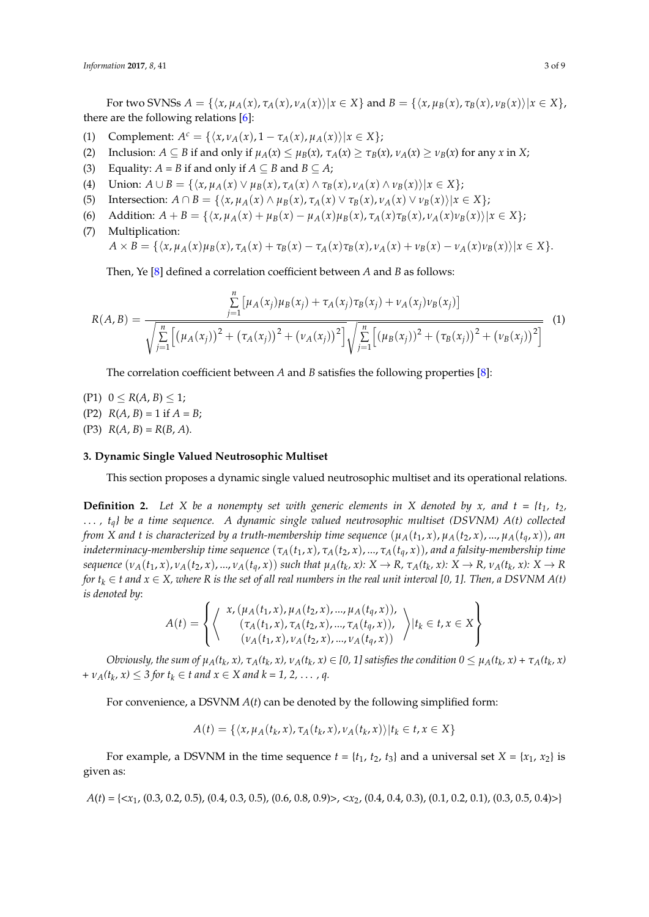For two SVNSs  $A = \{ \langle x, \mu_A(x), \tau_A(x), \nu_A(x) \rangle | x \in X \}$  and  $B = \{ \langle x, \mu_B(x), \tau_B(x), \nu_B(x) \rangle | x \in X \}$ , there are the following relations [\[6\]](#page-8-5):

- $(1)$  Complement:  $A^c = {\{\langle x, v_A(x), 1 \tau_A(x), \mu_A(x)\rangle | x \in X\}};$
- (2) Inclusion:  $A \subseteq B$  if and only if  $\mu_A(x) \leq \mu_B(x)$ ,  $\tau_A(x) \geq \tau_B(x)$ ,  $\nu_A(x) \geq \nu_B(x)$  for any x in X;
- (3) Equality:  $A = B$  if and only if  $A \subseteq B$  and  $B \subseteq A$ ;
- (4) Union:  $A \cup B = \{ \langle x, \mu_A(x) \vee \mu_B(x), \tau_A(x) \wedge \tau_B(x), \nu_A(x) \wedge \nu_B(x) \rangle | x \in X \};$
- (5) Intersection:  $A \cap B = \{ \langle x, \mu_A(x) \land \mu_B(x), \tau_A(x) \lor \tau_B(x), \nu_A(x) \lor \nu_B(x) \rangle | x \in X \};$
- (6) Addition:  $A + B = \{ (x, \mu_A(x) + \mu_B(x) \mu_A(x)\mu_B(x), \tau_A(x)\tau_B(x), \nu_A(x)\nu_B(x)) | x \in X \};$
- (7) Multiplication:

$$
A\times \overline{B} = \{ \langle x, \mu_A(x)\mu_B(x), \tau_A(x) + \tau_B(x) - \tau_A(x)\tau_B(x), \nu_A(x) + \nu_B(x) - \nu_A(x)\nu_B(x) \rangle | x \in X \}.
$$

Then, Ye [\[8\]](#page-8-9) defined a correlation coefficient between *A* and *B* as follows:

$$
R(A,B) = \frac{\sum_{j=1}^{n} \left[ \mu_A(x_j) \mu_B(x_j) + \tau_A(x_j) \tau_B(x_j) + \nu_A(x_j) \nu_B(x_j) \right]}{\sqrt{\sum_{j=1}^{n} \left[ (\mu_A(x_j))^2 + (\tau_A(x_j))^2 + (\nu_A(x_j))^2 \right] \sqrt{\sum_{j=1}^{n} \left[ (\mu_B(x_j))^2 + (\tau_B(x_j))^2 + (\nu_B(x_j))^2 \right]}} (1)
$$

The correlation coefficient between *A* and *B* satisfies the following properties [\[8\]](#page-8-9):

- $(P1)$   $0 \le R(A, B) \le 1;$ (P2)  $R(A, B) = 1$  if  $A = B$ ;
- (P3)  $R(A, B) = R(B, A)$ .

#### <span id="page-3-0"></span>**3. Dynamic Single Valued Neutrosophic Multiset**

This section proposes a dynamic single valued neutrosophic multiset and its operational relations.

**Definition 2.** Let X be a nonempty set with generic elements in X denoted by x, and  $t = \{t_1, t_2,$ . . . *, tq} be a time sequence. A dynamic single valued neutrosophic multiset (DSVNM) A(t) collected from X and t is characterized by a truth-membership time sequence*  $(\mu_A(t_1, x), \mu_A(t_2, x), ..., \mu_A(t_q, x))$ , *an indeterminacy-membership time sequence*  $(\tau_A(t_1, x), \tau_A(t_2, x), ..., \tau_A(t_q, x))$ , and a falsity-membership time sequence  $(v_A(t_1,x), v_A(t_2,x),..., v_A(t_q,x))$  such that  $\mu_A(t_k,x): X \to R$ ,  $\tau_A(t_k,x): X \to R$ ,  $\nu_A(t_k,x): X \to R$ *for*  $t_k \in t$  and  $x \in X$ , where R is the set of all real numbers in the real unit interval [0, 1]. Then, a DSVNM A(t) *is denoted by*:

$$
A(t) = \left\{ \left\langle \begin{array}{c} x, (\mu_A(t_1, x), \mu_A(t_2, x), ..., \mu_A(t_q, x)), \\ (\tau_A(t_1, x), \tau_A(t_2, x), ..., \tau_A(t_q, x)), \\ (\nu_A(t_1, x), \nu_A(t_2, x), ..., \nu_A(t_q, x)) \end{array} \right\rangle | t_k \in t, x \in X \right\}
$$

Obviously, the sum of  $\mu_A(t_k, x)$ ,  $\tau_A(t_k, x)$ ,  $\nu_A(t_k, x) \in [0, 1]$  satisfies the condition  $0 \leq \mu_A(t_k, x) + \tau_A(t_k, x)$ *+*  $\nu_A(t_k, x) \leq 3$  for  $t_k \in t$  and  $x \in X$  and  $k = 1, 2, ..., q$ .

For convenience, a DSVNM *A*(*t*) can be denoted by the following simplified form:

$$
A(t) = \{ \langle x, \mu_A(t_k, x), \tau_A(t_k, x), \nu_A(t_k, x) \rangle | t_k \in t, x \in X \}
$$

For example, a DSVNM in the time sequence  $t = \{t_1, t_2, t_3\}$  and a universal set  $X = \{x_1, x_2\}$  is given as:

*A*(*t*) = {<*x*1, (0.3, 0.2, 0.5), (0.4, 0.3, 0.5), (0.6, 0.8, 0.9)>, <*x*2, (0.4, 0.4, 0.3), (0.1, 0.2, 0.1), (0.3, 0.5, 0.4)>}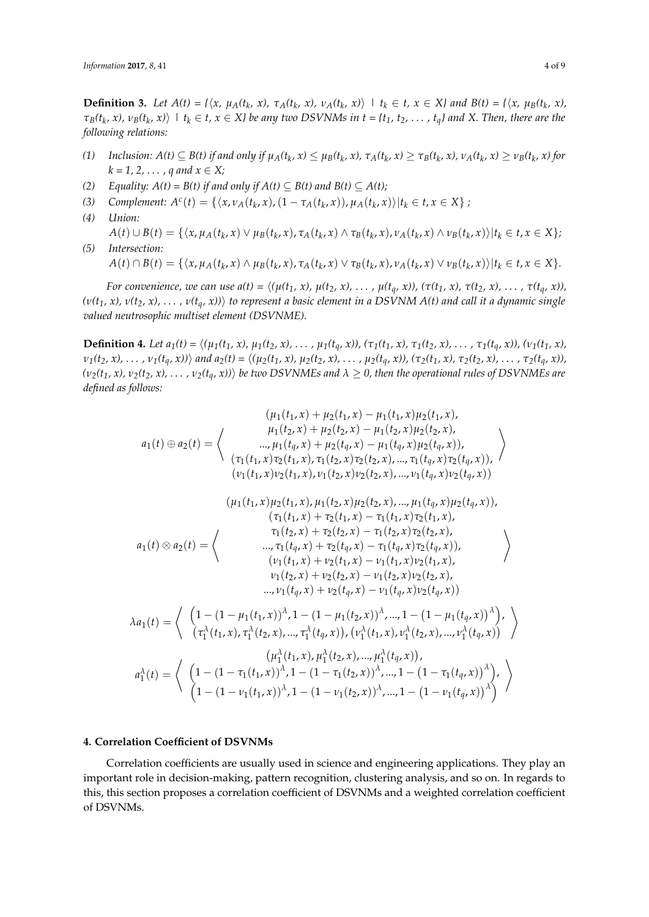**Definition 3.** Let  $A(t) = \{ \langle x, \mu_A(t_k, x), \tau_A(t_k, x), \nu_A(t_k, x) \rangle \mid t_k \in t, x \in X \}$  and  $B(t) = \{ \langle x, \mu_B(t_k, x), \mu_A(t_k, x), \tau_A(t_k, x) \rangle \mid t_k \in t \}$  $\tau_B(t_k,x)$ ,  $v_B(t_k,x)$  |  $t_k \in t$ ,  $x \in X$ } be any two DSVNMs in  $t = \{t_1, t_2, \ldots, t_q\}$  and X. Then, there are the *following relations:*

- (1) Inclusion:  $A(t) \subseteq B(t)$  if and only if  $\mu_A(t_k, x) \leq \mu_B(t_k, x)$ ,  $\tau_A(t_k, x) \geq \tau_B(t_k, x)$ ,  $\nu_A(t_k, x) \geq \nu_B(t_k, x)$  for  $k = 1, 2, ..., q$  and  $x \in X$ ;
- *(2) Equality:*  $A(t) = B(t)$  *if and only if*  $A(t) \subseteq B(t)$  *and*  $B(t) \subseteq A(t)$ *;*
- (3) Complement:  $A^{c}(t) = \{ \langle x, v_{A}(t_{k}, x), (1 \tau_{A}(t_{k}, x)), \mu_{A}(t_{k}, x) \rangle | t_{k} \in t, x \in X \}$ ;
- *(4) Union:*  $A(t)\cup B(t)=\{\langle x,\mu_A(t_k,x)\vee\mu_B(t_k,x),\tau_A(t_k,x)\wedge\tau_B(t_k,x),\nu_A(t_k,x)\wedge\nu_B(t_k,x)\rangle|t_k\in t,x\in X\};$
- *(5) Intersection:*  $A(t) \cap B(t) = \{ \langle x, \mu_A(t_k, x) \land \mu_B(t_k, x), \tau_A(t_k, x) \lor \tau_B(t_k, x), \nu_A(t_k, x) \lor \nu_B(t_k, x) \rangle | t_k \in t, x \in X \}.$

For convenience, we can use  $a(t) = \langle (\mu(t_1, x), \mu(t_2, x), \dots, \mu(t_q, x)), (\tau(t_1, x), \tau(t_2, x), \dots, \tau(t_q, x)),$  $(v(t_1, x), v(t_2, x), \ldots, v(t_a, x))$  to represent a basic element in a DSVNM A(t) and call it a dynamic single *valued neutrosophic multiset element (DSVNME).*

**Definition 4.** Let  $a_1(t) = \langle (\mu_1(t_1, x), \mu_1(t_2, x), \dots, \mu_1(t_a, x)), (\tau_1(t_1, x), \tau_1(t_2, x), \dots, \tau_1(t_a, x)), (\nu_1(t_1, x), \tau_2(t_2, x), \dots, \nu_t(t_a, x)) \rangle$  $v_1(t_2, x), \ldots, v_1(t_q, x)$  and  $a_2(t) = \langle (\mu_2(t_1, x), \mu_2(t_2, x), \ldots, \mu_2(t_q, x)), (\tau_2(t_1, x), \tau_2(t_2, x), \ldots, \tau_2(t_q, x)),$  $(v_2(t_1, x), v_2(t_2, x), \ldots, v_2(t_q, x))$  be two DSVNMEs and  $\lambda \ge 0$ , then the operational rules of DSVNMEs are *defined as follows:*

$$
(u_{1}(t_{1},x)+\mu_{2}(t_{1},x)-\mu_{1}(t_{1},x)\mu_{2}(t_{1},x),
$$
\n
$$
a_{1}(t) \oplus a_{2}(t) = \left\langle \begin{array}{c} \mu_{1}(t_{2},x)+\mu_{2}(t_{2},x)-\mu_{1}(t_{2},x)\mu_{2}(t_{2},x), \\ \dots,\mu_{1}(t_{q},x)+\mu_{2}(t_{q},x)-\mu_{1}(t_{q},x)\mu_{2}(t_{q},x)), \\ (\tau_{1}(t_{1},x)\tau_{2}(t_{1},x),\tau_{1}(t_{2},x)\tau_{2}(t_{2},x),\dots,\tau_{1}(t_{q},x)\tau_{2}(t_{q},x)), \\ (\nu_{1}(t_{1},x)\nu_{2}(t_{1},x),\nu_{1}(t_{2},x)\nu_{2}(t_{2},x),\dots,\nu_{1}(t_{q},x)\nu_{2}(t_{q},x)), \\ (\tau_{1}(t_{1},x)+\tau_{2}(t_{1},x)-\tau_{1}(t_{1},x)\tau_{2}(t_{1},x), \\ (\tau_{1}(t_{1},x)+\tau_{2}(t_{1},x)-\tau_{1}(t_{2},x)\tau_{2}(t_{2},x),\dots,\nu_{1}(t_{q},x)) , \\ (\tau_{1}(t_{2},x)+\tau_{2}(t_{2},x)-\tau_{1}(t_{2},x)\tau_{2}(t_{2},x), \\ \dots,\tau_{1}(t_{q},x)+\tau_{2}(t_{q},x)-\tau_{1}(t_{q},x)\tau_{2}(t_{q},x)), \\ (\nu_{1}(t_{1},x)+\nu_{2}(t_{1},x)-\nu_{1}(t_{1},x)\nu_{2}(t_{1},x), \\ (\nu_{1}(t_{1},x)+\nu_{2}(t_{1},x)-\nu_{1}(t_{2},x)\nu_{2}(t_{2},x), \\ \dots,\nu_{1}(t_{q},x)+\nu_{2}(t_{q},x)-\nu_{1}(t_{q},x)\nu_{2}(t_{q},x)) \end{array} \right\rangle
$$
\n
$$
\lambda a_{1}(t) = \left\langle \begin{array}{c} (1-(1-\mu_{1}(t_{1},x))^{\lambda}, 1-(1-\mu_{1}(t_{2},x))^{\lambda},\dots, 1-(1-\mu_{1}(t_{q},x))^{\lambda}, \\ (\tau_{1}^{\lambda}(t_{1},x),\tau_{1}^{\lambda}(t_{2},x),\dots,\tau_{1}
$$

#### <span id="page-4-0"></span>**4. Correlation Coefficient of DSVNMs**

Correlation coefficients are usually used in science and engineering applications. They play an important role in decision-making, pattern recognition, clustering analysis, and so on. In regards to this, this section proposes a correlation coefficient of DSVNMs and a weighted correlation coefficient of DSVNMs.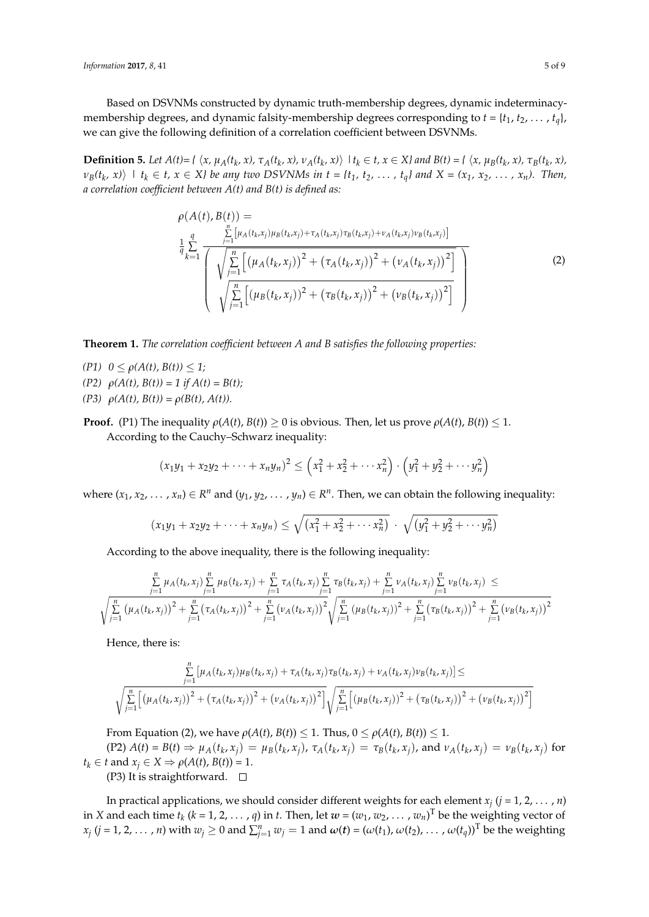Based on DSVNMs constructed by dynamic truth-membership degrees, dynamic indeterminacymembership degrees, and dynamic falsity-membership degrees corresponding to  $t = \{t_1, t_2, \ldots, t_q\}$ , we can give the following definition of a correlation coefficient between DSVNMs.

**Definition 5.** Let  $A(t) = \{ \langle x, \mu_A(t_k, x), \tau_A(t_k, x), \nu_A(t_k, x) \rangle \mid t_k \in t, x \in X \}$  and  $B(t) = \{ \langle x, \mu_B(t_k, x), \tau_B(t_k, x), \tau_B(t_k, x) \rangle \mid t_k \in t, x \in X \}$  $v_B(t_k, x)$  |  $t_k \in t$ ,  $x \in X$ } be any two DSVNMs in  $t = \{t_1, t_2, \ldots, t_q\}$  and  $X = (x_1, x_2, \ldots, x_n)$ . Then, *a correlation coefficient between A(t) and B(t) is defined as:*

$$
\rho(A(t), B(t)) = \frac{\sum_{j=1}^{n} [\mu_{A}(t_{k}, x_{j})\mu_{B}(t_{k}, x_{j}) + \tau_{A}(t_{k}, x_{j})\tau_{B}(t_{k}, x_{j}) + \nu_{A}(t_{k}, x_{j})\nu_{B}(t_{k}, x_{j})]}{\sqrt{\sum_{j=1}^{n} [(\mu_{A}(t_{k}, x_{j}))^{2} + (\tau_{A}(t_{k}, x_{j}))^{2} + (\nu_{A}(t_{k}, x_{j}))^{2}]}\sqrt{\sum_{j=1}^{n} [(\mu_{B}(t_{k}, x_{j}))^{2} + (\tau_{B}(t_{k}, x_{j}))^{2} + (\nu_{B}(t_{k}, x_{j}))^{2}]}}
$$
\n(2)

**Theorem 1.** *The correlation coefficient between A and B satisfies the following properties:*

- *(P1)*  $0 \le \rho(A(t), B(t)) \le 1$ ;
- $(P2)$   $\rho(A(t), B(t)) = 1$  if  $A(t) = B(t);$
- *(P3)*  $ρ(A(t), B(t)) = ρ(B(t), A(t)).$
- **Proof.** (P1) The inequality  $\rho(A(t), B(t)) \ge 0$  is obvious. Then, let us prove  $\rho(A(t), B(t)) \le 1$ . According to the Cauchy–Schwarz inequality:

$$
(x_1y_1 + x_2y_2 + \cdots + x_ny_n)^2 \leq (x_1^2 + x_2^2 + \cdots + x_n^2) \cdot (y_1^2 + y_2^2 + \cdots + y_n^2)
$$

where  $(x_1, x_2, \ldots, x_n) \in R^n$  and  $(y_1, y_2, \ldots, y_n) \in R^n$ . Then, we can obtain the following inequality:

$$
(x_1y_1 + x_2y_2 + \cdots + x_ny_n) \leq \sqrt{(x_1^2 + x_2^2 + \cdots + x_n^2)} \cdot \sqrt{(y_1^2 + y_2^2 + \cdots + y_n^2)}
$$

According to the above inequality, there is the following inequality:

$$
\frac{\sum\limits_{j=1}^{n} \mu_{A}(t_{k},x_{j}) \sum\limits_{j=1}^{n} \mu_{B}(t_{k},x_{j}) + \sum\limits_{j=1}^{n} \tau_{A}(t_{k},x_{j}) \sum\limits_{j=1}^{n} \tau_{B}(t_{k},x_{j}) + \sum\limits_{j=1}^{n} \nu_{A}(t_{k},x_{j}) \sum\limits_{j=1}^{n} \nu_{B}(t_{k},x_{j}) \leq \sqrt{\sum\limits_{j=1}^{n} (\mu_{A}(t_{k},x_{j}))^{2} + \sum\limits_{j=1}^{n} (\tau_{A}(t_{k},x_{j}))^{2} + \sum\limits_{j=1}^{n} (\nu_{A}(t_{k},x_{j}))^{2} + \sum\limits_{j=1}^{n} (\mu_{B}(t_{k},x_{j}))^{2} + \sum\limits_{j=1}^{n} (\tau_{B}(t_{k},x_{j}))^{2} + \sum\limits_{j=1}^{n} (\nu_{B}(t_{k},x_{j}))^{2}
$$

Hence, there is:

$$
\sum_{j=1}^{n} \left[ \mu_A(t_k, x_j) \mu_B(t_k, x_j) + \tau_A(t_k, x_j) \tau_B(t_k, x_j) + \nu_A(t_k, x_j) \nu_B(t_k, x_j) \right] \le
$$
\n
$$
\sqrt{\sum_{j=1}^{n} \left[ \left( \mu_A(t_k, x_j) \right)^2 + \left( \tau_A(t_k, x_j) \right)^2 + \left( \nu_A(t_k, x_j) \right)^2 \right]} \sqrt{\sum_{j=1}^{n} \left[ \left( \mu_B(t_k, x_j) \right)^2 + \left( \tau_B(t_k, x_j) \right)^2 + \left( \nu_B(t_k, x_j) \right)^2 \right]}
$$

From Equation (2), we have  $\rho(A(t), B(t)) \leq 1$ . Thus,  $0 \leq \rho(A(t), B(t)) \leq 1$ .

 $(P2) A(t) = B(t) \Rightarrow \mu_A(t_k, x_j) = \mu_B(t_k, x_j), \tau_A(t_k, x_j) = \tau_B(t_k, x_j),$  and  $\nu_A(t_k, x_j) = \nu_B(t_k, x_j)$  for  $t_k \in t$  and  $x_j \in X \Rightarrow \rho(A(t), B(t)) = 1$ .

(P3) It is straightforward.  $\square$ 

In practical applications, we should consider different weights for each element *x<sup>j</sup>* (*j* = 1, 2, . . . , *n*) in *X* and each time  $t_k$  ( $k = 1, 2, ..., q$ ) in  $t$ . Then, let  $w = (w_1, w_2, ..., w_n)$ <sup>T</sup> be the weighting vector of  $x_j$   $(j = 1, 2, ..., n)$  with  $w_j \ge 0$  and  $\sum_{j=1}^n w_j = 1$  and  $\omega(t) = (\omega(t_1), \omega(t_2), ..., \omega(t_q))^T$  be the weighting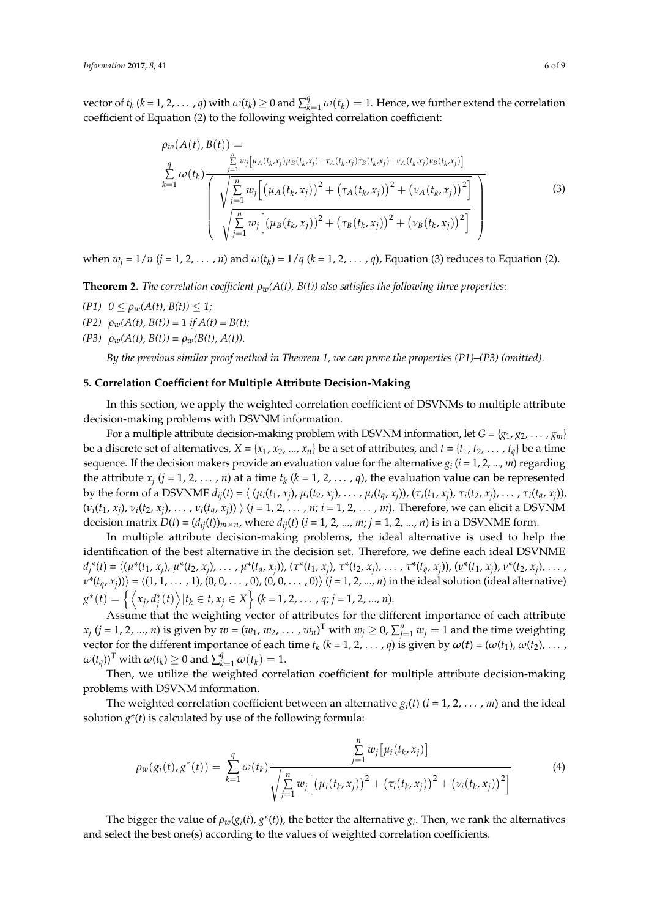vector of  $t_k$  ( $k = 1, 2, ..., q$ ) with  $\omega(t_k) \ge 0$  and  $\sum_{k=1}^q \omega(t_k) = 1$ . Hence, we further extend the correlation coefficient of Equation (2) to the following weighted correlation coefficient:

$$
\rho_{w}(A(t), B(t)) = \sum_{k=1}^{n} w_{j} \left[ \mu_{A}(t_{k}, x_{j}) \mu_{B}(t_{k}, x_{j}) + \tau_{A}(t_{k}, x_{j}) \tau_{B}(t_{k}, x_{j}) + \nu_{A}(t_{k}, x_{j}) \nu_{B}(t_{k}, x_{j}) \right] \left( \sqrt{\sum_{j=1}^{n} w_{j} \left[ \left( \mu_{A}(t_{k}, x_{j}) \right)^{2} + \left( \tau_{A}(t_{k}, x_{j}) \right)^{2} + \left( \nu_{A}(t_{k}, x_{j}) \right)^{2} \right]} \sqrt{\sum_{j=1}^{n} w_{j} \left[ \left( \mu_{B}(t_{k}, x_{j}) \right)^{2} + \left( \tau_{B}(t_{k}, x_{j}) \right)^{2} + \left( \nu_{B}(t_{k}, x_{j}) \right)^{2} \right]} \right)
$$
\n(3)

*when*  $w_j = 1/n$  *(* $j = 1, 2, ..., n$ *) and*  $\omega(t_k) = 1/q$  *(* $k = 1, 2, ..., q$ *), Equation (3) reduces to Equation (2).* 

**Theorem 2.** *The correlation coefficient ρw(A(t), B(t)) also satisfies the following three properties:*

- $(P1)$   $0 \leq \rho_w(A(t), B(t)) \leq 1;$
- $(P2)$   $\rho_w(A(t), B(t)) = 1$  if  $A(t) = B(t);$
- $(P3)$   $\rho_w(A(t), B(t)) = \rho_w(B(t), A(t)).$

*By the previous similar proof method in Theorem 1, we can prove the properties (P1)–(P3) (omitted).*

#### <span id="page-6-0"></span>**5. Correlation Coefficient for Multiple Attribute Decision-Making**

In this section, we apply the weighted correlation coefficient of DSVNMs to multiple attribute decision-making problems with DSVNM information.

For a multiple attribute decision-making problem with DSVNM information, let  $G = \{g_1, g_2, \dots, g_m\}$ be a discrete set of alternatives,  $X = \{x_1, x_2, ..., x_n\}$  be a set of attributes, and  $t = \{t_1, t_2, ..., t_q\}$  be a time sequence. If the decision makers provide an evaluation value for the alternative  $g_i$  ( $i = 1, 2, ..., m$ ) regarding the attribute  $x_j$  ( $j = 1, 2, ..., n$ ) at a time  $t_k$  ( $k = 1, 2, ..., q$ ), the evaluation value can be represented by the form of a DSVNME  $d_{ij}(t) = \langle (\mu_i(t_1, x_j), \mu_i(t_2, x_j), \dots, \mu_i(t_q, x_j)), (\tau_i(t_1, x_j), \tau_i(t_2, x_j), \dots, \tau_i(t_q, x_j)),$  $(v_i(t_1, x_j), v_i(t_2, x_j), \ldots, v_i(t_q, x_j))$   $\rangle$   $(j = 1, 2, \ldots, n; i = 1, 2, \ldots, m)$ . Therefore, we can elicit a DSVNM decision matrix  $D(t) = (d_{ij}(t))_{m \times n}$ , where  $d_{ij}(t)$  ( $i = 1, 2, ..., m; j = 1, 2, ..., n$ ) is in a DSVNME form.

In multiple attribute decision-making problems, the ideal alternative is used to help the identification of the best alternative in the decision set. Therefore, we define each ideal DSVNME  $d_j^*(t) = \langle (\mu^*(t_1, x_j), \mu^*(t_2, x_j), \dots, \mu^*(t_q, x_j)), (\tau^*(t_1, x_j), \tau^*(t_2, x_j), \dots, \tau^*(t_q, x_j)), (\nu^*(t_1, x_j), \nu^*(t_2, x_j), \dots, \mu^*(t_q, x_j)) \rangle$  $\nu^*(t_q,x_j)\rangle\rangle=\langle (1,1,\ldots,1),(0,0,\ldots,0),(0,0,\ldots,0)\rangle$   $(j=1,2,...,n)$  in the ideal solution (ideal alternative)  $g^*(t) = \left\{ \left\langle x_j, d_j^*(t) \right\rangle | t_k \in t, x_j \in X \right\}$  (k = 1, 2, . . . , q; *j* = 1, 2, . . . , *n*).

Assume that the weighting vector of attributes for the different importance of each attribute  $x_j$  ( $j = 1, 2, ..., n$ ) is given by  $w = (w_1, w_2, ..., w_n)^T$  with  $w_j \ge 0$ ,  $\sum_{j=1}^n w_j = 1$  and the time weighting vector for the different importance of each time  $t_k$  ( $k = 1, 2, ..., q$ ) is given by  $\omega(t) = (\omega(t_1), \omega(t_2), ...,$  $\omega(t_q)$ <sup>T</sup> with  $\omega(t_k) \geq 0$  and  $\sum_{k=1}^q \omega(t_k) = 1$ .

Then, we utilize the weighted correlation coefficient for multiple attribute decision-making problems with DSVNM information.

The weighted correlation coefficient between an alternative  $g_i(t)$  ( $i = 1, 2, ..., m$ ) and the ideal solution  $g^*(t)$  is calculated by use of the following formula:

$$
\rho_w(g_i(t), g^*(t)) = \sum_{k=1}^q \omega(t_k) \frac{\sum_{j=1}^n w_j [\mu_i(t_k, x_j)]}{\sqrt{\sum_{j=1}^n w_j [(\mu_i(t_k, x_j))^2 + (\tau_i(t_k, x_j))^2 + (\nu_i(t_k, x_j))^2]}}
$$
(4)

The bigger the value of  $\rho_w(g_i(t), g^*(t))$ , the better the alternative  $g_i$ . Then, we rank the alternatives and select the best one(s) according to the values of weighted correlation coefficients.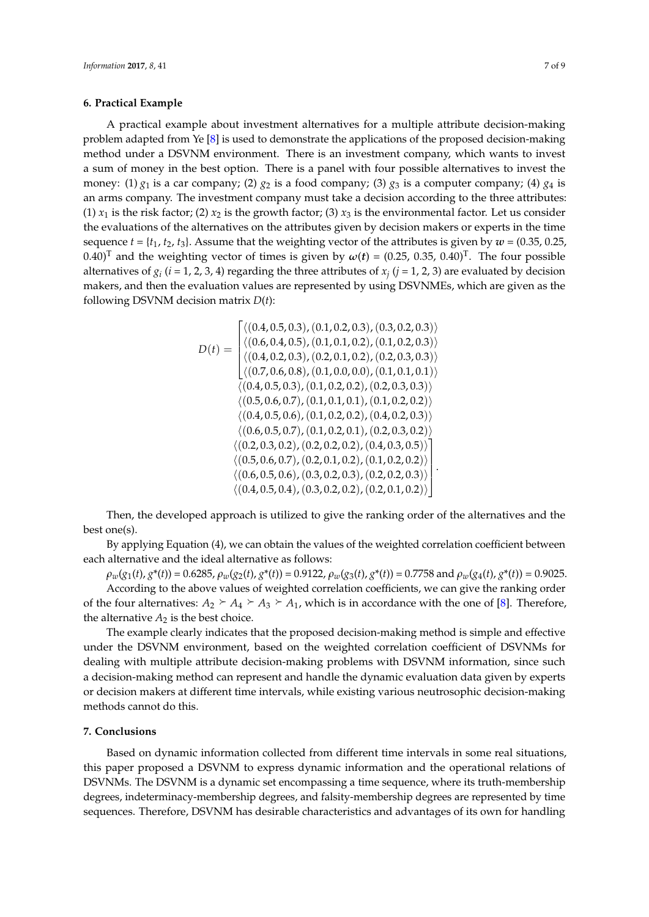#### <span id="page-7-0"></span>**6. Practical Example**  $\mathbf{d}$  $\mathcal{L}$ problem added  $\mathbf{F}$  is used to demonstrate the applications of the proposed the proposed the proposed the proposed the proposed to the proposed the proposed to the proposed the proposed to the proposed to the proposed  $\mathbf{d}$

A practical example about investment alternatives for a multiple attribute decision-making problem adapted from Ye [\[8\]](#page-8-9) is used to demonstrate the applications of the proposed decision-making method under a DSVNM environment. There is an investment company, which wants to invest a sum of money in the best option. There is a panel with four possible alternatives to invest the money: (1)  $g_1$  is a car company; (2)  $g_2$  is a food company; (3)  $g_3$  is a computer company; (4)  $g_4$  is an arms company. The investment company must take a decision according to the three attributes: (1)  $x_1$  is the risk factor; (2)  $x_2$  is the growth factor; (3)  $x_3$  is the environmental factor. Let us consider the evaluations of the alternatives on the attributes given by decision makers or experts in the time sequence  $t = \{t_1, t_2, t_3\}$ . Assume that the weighting vector of the attributes is given by  $w = (0.35, 0.25, 0.25)$ 0.40)<sup>T</sup> and the weighting vector of times is given by  $\omega(t) = (0.25, 0.35, 0.40)^T$ . The four possible alternatives of  $g_i$  ( $i$  = 1, 2, 3, 4) regarding the three attributes of  $x_j$  ( $j$  = 1, 2, 3) are evaluated by decision makers, and then the evaluation values are represented by using DSVNMEs, which are given as the makers, and then the evaluation values are represented by using DSVNMEs, which are given as the following DSVNM decision matrix *D*(*t*): *D* times the matrix  $D(t)$ :  $\mathbf{v}$  $(0.6,0.7)$ ,  $(0.4,0.5)$ ,  $(0.4,0.7)$ ,  $(0.3,0.7)$ *cision matrix l*  $\mathbf{r}$  $(0.4,0.5)$  and the differential strategy  $(0.5,0.7)$ ,  $(0.3,0.3)$  $\int$ , atrix  $D(t)$ ;  $\mathbf{a}$ 

$$
D(t) = \begin{bmatrix} \langle (0.4, 0.5, 0.3), (0.1, 0.2, 0.3), (0.3, 0.2, 0.3) \rangle \\ \langle (0.6, 0.4, 0.5), (0.1, 0.1, 0.2), (0.1, 0.2, 0.3) \rangle \\ \langle (0.4, 0.2, 0.3), (0.2, 0.1, 0.2), (0.2, 0.3, 0.3) \rangle \\ \langle (0.7, 0.6, 0.8), (0.1, 0.0, 0.0), (0.1, 0.1, 0.1) \rangle \\ \langle (0.4, 0.5, 0.3), (0.1, 0.2, 0.2), (0.2, 0.3, 0.3) \rangle \\ \langle (0.5, 0.6, 0.7), (0.1, 0.1, 0.1), (0.1, 0.2, 0.2) \rangle \\ \langle (0.4, 0.5, 0.6), (0.1, 0.2, 0.2), (0.4, 0.2, 0.3) \rangle \\ \langle (0.6, 0.5, 0.7), (0.1, 0.2, 0.1), (0.2, 0.3, 0.2) \rangle \\ \langle (0.5, 0.6, 0.7), (0.2, 0.2, 0.2), (0.4, 0.3, 0.5) \rangle \\ \langle (0.5, 0.6, 0.7), (0.2, 0.1, 0.2), (0.1, 0.2, 0.2) \rangle \\ \langle (0.6, 0.5, 0.6), (0.3, 0.2, 0.3), (0.2, 0.2, 0.3) \rangle \\ \langle (0.4, 0.5, 0.4), (0.3, 0.2, 0.2), (0.2, 0.1, 0.2) \rangle \end{bmatrix}
$$

Then, the developed approach is utilized to give the ranking order of the alternatives and the best one(s). best one(s). best one(s). best one(s).

By applying Equation (4), we can obtain the values of the weighted correlation coefficient between each alternative and the ideal alternative as follows:

 $\rho_w(g_1(t), g^*(t)) = 0.6285$ ,  $\rho_w(g_2(t), g^*(t)) = 0.9122$ ,  $\rho_w(g_3(t), g^*(t)) = 0.7758$  and  $\rho_w(g_4(t), g^*(t)) = 0.9025$ . According to the above values of weighted correlation coefficients, we can give the ranking order [of](#page-8-9) the four alternatives:  $A_2 \succeq A_4 \succeq A_3 \succeq A_1$ , which is in accordance with the one of [8]. Therefore, the alternative  $A_2$  is the best choice.

The example clearly indicates that the proposed decision-making method is simple and effective under the DSVNM environment, based on the weighted correlation coefficient of DSVNMs for dealing with multiple attribute decision-making problems with DSVNM information, since such a decision-making method can represent and handle the dynamic evaluation data given by experts or decision makers at different time intervals, while existing various neutrosophic decision-making methods cannot do this.

#### <span id="page-7-1"></span>**7. Conclusions**

Based on dynamic information collected from different time intervals in some real situations, this paper proposed a DSVNM to express dynamic information and the operational relations of DSVNMs. The DSVNM is a dynamic set encompassing a time sequence, where its truth-membership degrees, indeterminacy-membership degrees, and falsity-membership degrees are represented by time sequences. Therefore, DSVNM has desirable characteristics and advantages of its own for handling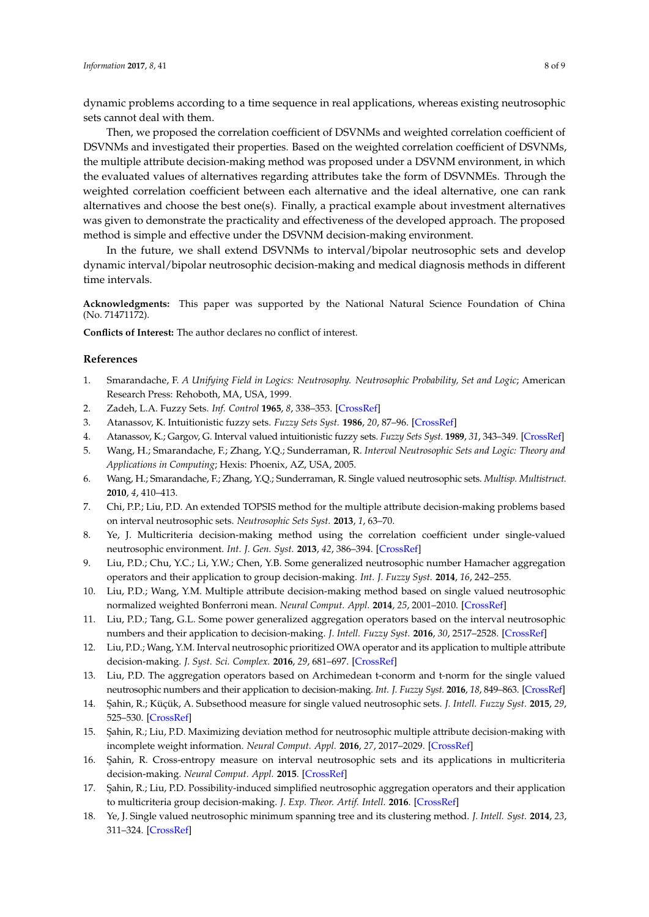dynamic problems according to a time sequence in real applications, whereas existing neutrosophic sets cannot deal with them.

Then, we proposed the correlation coefficient of DSVNMs and weighted correlation coefficient of DSVNMs and investigated their properties. Based on the weighted correlation coefficient of DSVNMs, the multiple attribute decision-making method was proposed under a DSVNM environment, in which the evaluated values of alternatives regarding attributes take the form of DSVNMEs. Through the weighted correlation coefficient between each alternative and the ideal alternative, one can rank alternatives and choose the best one(s). Finally, a practical example about investment alternatives was given to demonstrate the practicality and effectiveness of the developed approach. The proposed method is simple and effective under the DSVNM decision-making environment.

In the future, we shall extend DSVNMs to interval/bipolar neutrosophic sets and develop dynamic interval/bipolar neutrosophic decision-making and medical diagnosis methods in different time intervals.

**Acknowledgments:** This paper was supported by the National Natural Science Foundation of China (No. 71471172).

**Conflicts of Interest:** The author declares no conflict of interest.

#### **References**

- <span id="page-8-0"></span>1. Smarandache, F. *A Unifying Field in Logics: Neutrosophy. Neutrosophic Probability, Set and Logic*; American Research Press: Rehoboth, MA, USA, 1999.
- <span id="page-8-1"></span>2. Zadeh, L.A. Fuzzy Sets. *Inf. Control* **1965**, *8*, 338–353. [\[CrossRef\]](http://dx.doi.org/10.1016/S0019-9958(65)90241-X)
- <span id="page-8-2"></span>3. Atanassov, K. Intuitionistic fuzzy sets. *Fuzzy Sets Syst.* **1986**, *20*, 87–96. [\[CrossRef\]](http://dx.doi.org/10.1016/S0165-0114(86)80034-3)
- <span id="page-8-3"></span>4. Atanassov, K.; Gargov, G. Interval valued intuitionistic fuzzy sets. *Fuzzy Sets Syst.* **1989**, *31*, 343–349. [\[CrossRef\]](http://dx.doi.org/10.1016/0165-0114(89)90205-4)
- <span id="page-8-4"></span>5. Wang, H.; Smarandache, F.; Zhang, Y.Q.; Sunderraman, R. *Interval Neutrosophic Sets and Logic: Theory and Applications in Computing*; Hexis: Phoenix, AZ, USA, 2005.
- <span id="page-8-5"></span>6. Wang, H.; Smarandache, F.; Zhang, Y.Q.; Sunderraman, R. Single valued neutrosophic sets. *Multisp. Multistruct.* **2010**, *4*, 410–413.
- <span id="page-8-6"></span>7. Chi, P.P.; Liu, P.D. An extended TOPSIS method for the multiple attribute decision-making problems based on interval neutrosophic sets. *Neutrosophic Sets Syst.* **2013**, *1*, 63–70.
- <span id="page-8-9"></span>8. Ye, J. Multicriteria decision-making method using the correlation coefficient under single-valued neutrosophic environment. *Int. J. Gen. Syst.* **2013**, *42*, 386–394. [\[CrossRef\]](http://dx.doi.org/10.1080/03081079.2012.761609)
- 9. Liu, P.D.; Chu, Y.C.; Li, Y.W.; Chen, Y.B. Some generalized neutrosophic number Hamacher aggregation operators and their application to group decision-making. *Int. J. Fuzzy Syst.* **2014**, *16*, 242–255.
- 10. Liu, P.D.; Wang, Y.M. Multiple attribute decision-making method based on single valued neutrosophic normalized weighted Bonferroni mean. *Neural Comput. Appl.* **2014**, *25*, 2001–2010. [\[CrossRef\]](http://dx.doi.org/10.1007/s00521-014-1688-8)
- 11. Liu, P.D.; Tang, G.L. Some power generalized aggregation operators based on the interval neutrosophic numbers and their application to decision-making. *J. Intell. Fuzzy Syst.* **2016**, *30*, 2517–2528. [\[CrossRef\]](http://dx.doi.org/10.3233/IFS-151782)
- 12. Liu, P.D.; Wang, Y.M. Interval neutrosophic prioritized OWA operator and its application to multiple attribute decision-making. *J. Syst. Sci. Complex.* **2016**, *29*, 681–697. [\[CrossRef\]](http://dx.doi.org/10.1007/s11424-015-4010-7)
- 13. Liu, P.D. The aggregation operators based on Archimedean t-conorm and t-norm for the single valued neutrosophic numbers and their application to decision-making. *Int. J. Fuzzy Syst.* **2016**, *18*, 849–863. [\[CrossRef\]](http://dx.doi.org/10.1007/s40815-016-0195-8)
- 14. ¸Sahin, R.; Küçük, A. Subsethood measure for single valued neutrosophic sets. *J. Intell. Fuzzy Syst.* **2015**, *29*, 525–530. [\[CrossRef\]](http://dx.doi.org/10.3233/IFS-141304)
- 15. ¸Sahin, R.; Liu, P.D. Maximizing deviation method for neutrosophic multiple attribute decision-making with incomplete weight information. *Neural Comput. Appl.* **2016**, *27*, 2017–2029. [\[CrossRef\]](http://dx.doi.org/10.1007/s00521-015-1995-8)
- 16. Şahin, R. Cross-entropy measure on interval neutrosophic sets and its applications in multicriteria decision-making. *Neural Comput. Appl.* **2015**. [\[CrossRef\]](http://dx.doi.org/10.1007/s00521-015-2131-5)
- <span id="page-8-7"></span>17. Sahin, R.; Liu, P.D. Possibility-induced simplified neutrosophic aggregation operators and their application to multicriteria group decision-making. *J. Exp. Theor. Artif. Intell.* **2016**. [\[CrossRef\]](http://dx.doi.org/10.1080/0952813X.2016.1259266)
- <span id="page-8-8"></span>18. Ye, J. Single valued neutrosophic minimum spanning tree and its clustering method. *J. Intell. Syst.* **2014**, *23*, 311–324. [\[CrossRef\]](http://dx.doi.org/10.1515/jisys-2013-0075)